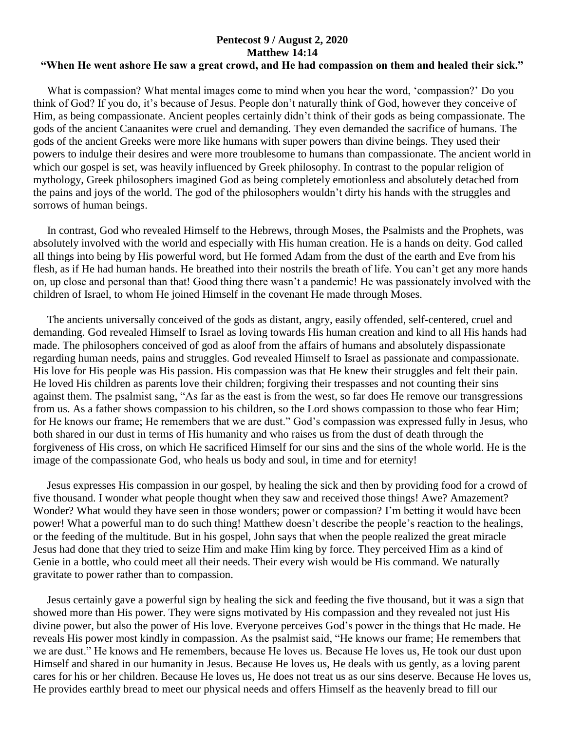## **Pentecost 9 / August 2, 2020 Matthew 14:14 "When He went ashore He saw a great crowd, and He had compassion on them and healed their sick."**

 What is compassion? What mental images come to mind when you hear the word, 'compassion?' Do you think of God? If you do, it's because of Jesus. People don't naturally think of God, however they conceive of Him, as being compassionate. Ancient peoples certainly didn't think of their gods as being compassionate. The gods of the ancient Canaanites were cruel and demanding. They even demanded the sacrifice of humans. The gods of the ancient Greeks were more like humans with super powers than divine beings. They used their powers to indulge their desires and were more troublesome to humans than compassionate. The ancient world in which our gospel is set, was heavily influenced by Greek philosophy. In contrast to the popular religion of mythology, Greek philosophers imagined God as being completely emotionless and absolutely detached from the pains and joys of the world. The god of the philosophers wouldn't dirty his hands with the struggles and sorrows of human beings.

 In contrast, God who revealed Himself to the Hebrews, through Moses, the Psalmists and the Prophets, was absolutely involved with the world and especially with His human creation. He is a hands on deity. God called all things into being by His powerful word, but He formed Adam from the dust of the earth and Eve from his flesh, as if He had human hands. He breathed into their nostrils the breath of life. You can't get any more hands on, up close and personal than that! Good thing there wasn't a pandemic! He was passionately involved with the children of Israel, to whom He joined Himself in the covenant He made through Moses.

 The ancients universally conceived of the gods as distant, angry, easily offended, self-centered, cruel and demanding. God revealed Himself to Israel as loving towards His human creation and kind to all His hands had made. The philosophers conceived of god as aloof from the affairs of humans and absolutely dispassionate regarding human needs, pains and struggles. God revealed Himself to Israel as passionate and compassionate. His love for His people was His passion. His compassion was that He knew their struggles and felt their pain. He loved His children as parents love their children; forgiving their trespasses and not counting their sins against them. The psalmist sang, "As far as the east is from the west, so far does He remove our transgressions from us. As a father shows compassion to his children, so the Lord shows compassion to those who fear Him; for He knows our frame; He remembers that we are dust." God's compassion was expressed fully in Jesus, who both shared in our dust in terms of His humanity and who raises us from the dust of death through the forgiveness of His cross, on which He sacrificed Himself for our sins and the sins of the whole world. He is the image of the compassionate God, who heals us body and soul, in time and for eternity!

 Jesus expresses His compassion in our gospel, by healing the sick and then by providing food for a crowd of five thousand. I wonder what people thought when they saw and received those things! Awe? Amazement? Wonder? What would they have seen in those wonders; power or compassion? I'm betting it would have been power! What a powerful man to do such thing! Matthew doesn't describe the people's reaction to the healings, or the feeding of the multitude. But in his gospel, John says that when the people realized the great miracle Jesus had done that they tried to seize Him and make Him king by force. They perceived Him as a kind of Genie in a bottle, who could meet all their needs. Their every wish would be His command. We naturally gravitate to power rather than to compassion.

 Jesus certainly gave a powerful sign by healing the sick and feeding the five thousand, but it was a sign that showed more than His power. They were signs motivated by His compassion and they revealed not just His divine power, but also the power of His love. Everyone perceives God's power in the things that He made. He reveals His power most kindly in compassion. As the psalmist said, "He knows our frame; He remembers that we are dust." He knows and He remembers, because He loves us. Because He loves us, He took our dust upon Himself and shared in our humanity in Jesus. Because He loves us, He deals with us gently, as a loving parent cares for his or her children. Because He loves us, He does not treat us as our sins deserve. Because He loves us, He provides earthly bread to meet our physical needs and offers Himself as the heavenly bread to fill our